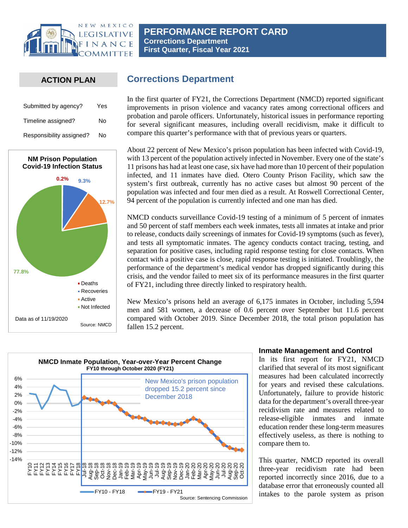

## **ACTION PLAN**

| Submitted by agency?     | Yes |
|--------------------------|-----|
| Timeline assigned?       | N٥  |
| Responsibility assigned? | N٥  |



# **Corrections Department**

In the first quarter of FY21, the Corrections Department (NMCD) reported significant improvements in prison violence and vacancy rates among correctional officers and probation and parole officers. Unfortunately, historical issues in performance reporting for several significant measures, including overall recidivism, make it difficult to compare this quarter's performance with that of previous years or quarters.

About 22 percent of New Mexico's prison population has been infected with Covid-19, with 13 percent of the population actively infected in November. Every one of the state's 11 prisons has had at least one case, six have had more than 10 percent of their population infected, and 11 inmates have died. Otero County Prison Facility, which saw the system's first outbreak, currently has no active cases but almost 90 percent of the population was infected and four men died as a result. At Roswell Correctional Center, 94 percent of the population is currently infected and one man has died.

NMCD conducts surveillance Covid-19 testing of a minimum of 5 percent of inmates and 50 percent of staff members each week inmates, tests all inmates at intake and prior to release, conducts daily screenings of inmates for Covid-19 symptoms (such as fever), and tests all symptomatic inmates. The agency conducts contact tracing, testing, and separation for positive cases, including rapid response testing for close contacts. When contact with a positive case is close, rapid response testing is initiated. Troublingly, the performance of the department's medical vendor has dropped significantly during this crisis, and the vendor failed to meet six of its performance measures in the first quarter of FY21, including three directly linked to respiratory health.

New Mexico's prisons held an average of 6,175 inmates in October, including 5,594 men and 581 women, a decrease of 0.6 percent over September but 11.6 percent compared with October 2019. Since December 2018, the total prison population has fallen 15.2 percent.



#### **Inmate Management and Control**

In its first report for FY21, NMCD clarified that several of its most significant measures had been calculated incorrectly for years and revised these calculations. Unfortunately, failure to provide historic data for the department's overall three-year recidivism rate and measures related to release-eligible inmates and inmate education render these long-term measures effectively useless, as there is nothing to compare them to.

This quarter, NMCD reported its overall three-year recidivism rate had been reported incorrectly since 2016, due to a database error that erroneously counted all intakes to the parole system as prison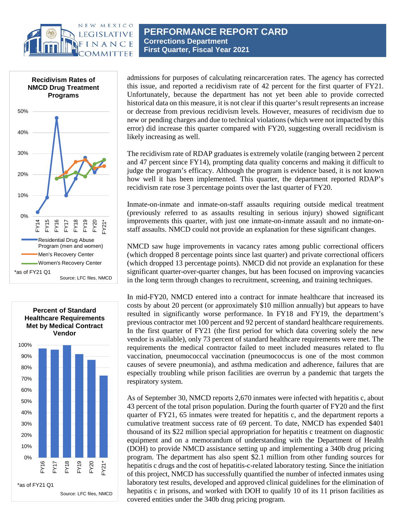







admissions for purposes of calculating reincarceration rates. The agency has corrected this issue, and reported a recidivism rate of 42 percent for the first quarter of FY21. Unfortunately, because the department has not yet been able to provide corrected historical data on this measure, it is not clear if this quarter's result represents an increase or decrease from previous recidivism levels. However, measures of recidivism due to new or pending charges and due to technical violations (which were not impacted by this error) did increase this quarter compared with FY20, suggesting overall recidivism is likely increasing as well.

The recidivism rate of RDAP graduates is extremely volatile (ranging between 2 percent and 47 percent since FY14), prompting data quality concerns and making it difficult to judge the program's efficacy. Although the program is evidence based, it is not known how well it has been implemented. This quarter, the department reported RDAP's recidivism rate rose 3 percentage points over the last quarter of FY20.

Inmate-on-inmate and inmate-on-staff assaults requiring outside medical treatment (previously referred to as assaults resulting in serious injury) showed significant improvements this quarter, with just one inmate-on-inmate assault and no inmate-onstaff assaults. NMCD could not provide an explanation for these significant changes.

NMCD saw huge improvements in vacancy rates among public correctional officers (which dropped 8 percentage points since last quarter) and private correctional officers (which dropped 13 percentage points). NMCD did not provide an explanation for these significant quarter-over-quarter changes, but has been focused on improving vacancies in the long term through changes to recruitment, screening, and training techniques.

In mid-FY20, NMCD entered into a contract for inmate healthcare that increased its costs by about 20 percent (or approximately \$10 million annually) but appears to have resulted in significantly worse performance. In FY18 and FY19, the department's previous contractor met 100 percent and 92 percent of standard healthcare requirements. In the first quarter of FY21 (the first period for which data covering solely the new vendor is available), only 73 percent of standard healthcare requirements were met. The requirements the medical contractor failed to meet included measures related to flu vaccination, pneumococcal vaccination (pneumococcus is one of the most common causes of severe pneumonia), and asthma medication and adherence, failures that are especially troubling while prison facilities are overrun by a pandemic that targets the respiratory system.

As of September 30, NMCD reports 2,670 inmates were infected with hepatitis c, about 43 percent of the total prison population. During the fourth quarter of FY20 and the first quarter of FY21, 65 inmates were treated for hepatitis c, and the department reports a cumulative treatment success rate of 69 percent. To date, NMCD has expended \$401 thousand of its \$22 million special appropriation for hepatitis c treatment on diagnostic equipment and on a memorandum of understanding with the Department of Health (DOH) to provide NMCD assistance setting up and implementing a 340b drug pricing program. The department has also spent \$2.1 million from other funding sources for hepatitis c drugs and the cost of hepatitis-c-related laboratory testing. Since the initiation of this project, NMCD has successfully quantified the number of infected inmates using laboratory test results, developed and approved clinical guidelines for the elimination of hepatitis c in prisons, and worked with DOH to qualify 10 of its 11 prison facilities as covered entities under the 340b drug pricing program.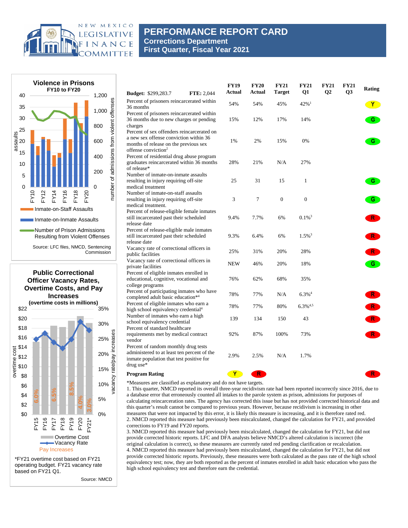

## **PERFORMANCE REPORT CARD Corrections Department First Quarter, Fiscal Year 2021**





\*FY21 overtime cost based on FY21 operating budget. FY21 vacancy rate based on FY21 Q1.

Source: NMCD

| <b>Budget: \$299,283.7</b>                                                                                                                                       | <b>FTE: 2,044</b> | <b>FY19</b><br>Actual | <b>FY20</b><br>Actual | <b>FY21</b><br><b>Target</b> | <b>FY21</b><br>Q1      | <b>FY21</b><br>$\mathbf{Q}$ | <b>FY21</b><br>Q3 | Rating       |
|------------------------------------------------------------------------------------------------------------------------------------------------------------------|-------------------|-----------------------|-----------------------|------------------------------|------------------------|-----------------------------|-------------------|--------------|
| Percent of prisoners reincarcerated within<br>36 months                                                                                                          |                   | 54%                   | 54%                   | 45%                          | 42% $1$                |                             |                   | $\mathbf{Y}$ |
| Percent of prisoners reincarcerated within<br>36 months due to new charges or pending<br>charges                                                                 |                   | 15%                   | 12%                   | 17%                          | 14%                    |                             |                   | G            |
| Percent of sex offenders reincarcerated on<br>a new sex offense conviction within 36<br>months of release on the previous sex<br>offense conviction <sup>2</sup> |                   | 1%                    | 2%                    | 15%                          | 0%                     |                             |                   | G            |
| Percent of residential drug abuse program<br>graduates reincarcerated within 36 months<br>of release*                                                            |                   | 28%                   | 21%                   | N/A                          | 27%                    |                             |                   |              |
| Number of inmate-on-inmate assaults<br>resulting in injury requiring off-site<br>medical treatment                                                               |                   | 25                    | 31                    | 15                           | $\mathbf{1}$           |                             |                   | G.           |
| Number of inmate-on-staff assaults<br>resulting in injury requiring off-site<br>medical treatment.                                                               |                   | 3                     | 7                     | $\overline{0}$               | $\overline{0}$         |                             |                   | G            |
| Percent of release-eligible female inmates<br>still incarcerated past their scheduled<br>release date                                                            |                   | 9.4%                  | 7.7%                  | 6%                           | $0.1\%$ <sup>3</sup>   |                             |                   | $\mathsf{R}$ |
| Percent of release-eligible male inmates<br>still incarcerated past their scheduled<br>release date                                                              |                   | 9.3%                  | 6.4%                  | 6%                           | $1.5\%$ <sup>3</sup>   |                             |                   | R.           |
| Vacancy rate of correctional officers in<br>public facilities                                                                                                    |                   | 25%                   | 31%                   | 20%                          | 28%                    |                             |                   | R            |
| Vacancy rate of correctional officers in<br>private facilities                                                                                                   |                   | <b>NEW</b>            | 46%                   | 20%                          | 18%                    |                             |                   | $\mathbf{G}$ |
| Percent of eligible inmates enrolled in<br>educational, cognitive, vocational and<br>college programs                                                            |                   | 76%                   | 62%                   | 68%                          | 35%                    |                             |                   |              |
| Percent of participating inmates who have<br>completed adult basic education*4                                                                                   |                   | 78%                   | 77%                   | N/A                          | $6.3\%$ <sup>4</sup>   |                             |                   | R            |
| Percent of eligible inmates who earn a<br>high school equivalency credential <sup>4</sup>                                                                        |                   | 78%                   | 77%                   | 80%                          | $6.3\%$ <sup>4,5</sup> |                             |                   | R            |
| Number of inmates who earn a high<br>school equivalency credential<br>Percent of standard healthcare                                                             |                   | 139                   | 134                   | 150                          | 43                     |                             |                   | R            |
| requirements met by medical contract<br>vendor                                                                                                                   |                   | 92%                   | 87%                   | 100%                         | 73%                    |                             |                   | R.           |
| Percent of random monthly drug tests<br>administered to at least ten percent of the<br>inmate population that test positive for<br>drug use*                     |                   | 2.9%                  | 2.5%                  | N/A                          | 1.7%                   |                             |                   |              |
| <b>Program Rating</b>                                                                                                                                            |                   | Y                     | R <sup>2</sup>        |                              |                        |                             |                   | $R^-$        |

\*Measures are classified as explanatory and do not have targets.

1. This quarter, NMCD reported its overall three-year recidivism rate had been reported incorrectly since 2016, due to a database error that erroneously counted all intakes to the parole system as prison, admissions for purposes of calculating reincarceration rates. The agency has corrected this issue but has not provided corrected historical data and this quarter's result cannot be compared to previous years. However, because recidivism is increasing in other measures that were not impacted by this error, it is likely this measure is increasing, and it is therefore rated red. 2. NMCD reported this measure had previously been miscalculated, changed the calculation for FY21, and provided corrections to FY19 and FY20 reports.

3. NMCD reported this measure had previously been miscalculated, changed the calculation for FY21, but did not provide corrected historic reports. LFC and DFA analysts believe NMCD's altered calculation is incorrect (the original calculation is correct), so these measures are currently rated red pending clarification or recalculation. 4. NMCD reported this measure had previously been miscalculated, changed the calculation for FY21, but did not provide corrected historic reports. Previously, these measures were both calculated as the pass rate of the high school equivalency test; now, they are both reported as the percent of inmates enrolled in adult basic education who pass the high school equivalency test and therefore earn the credential.